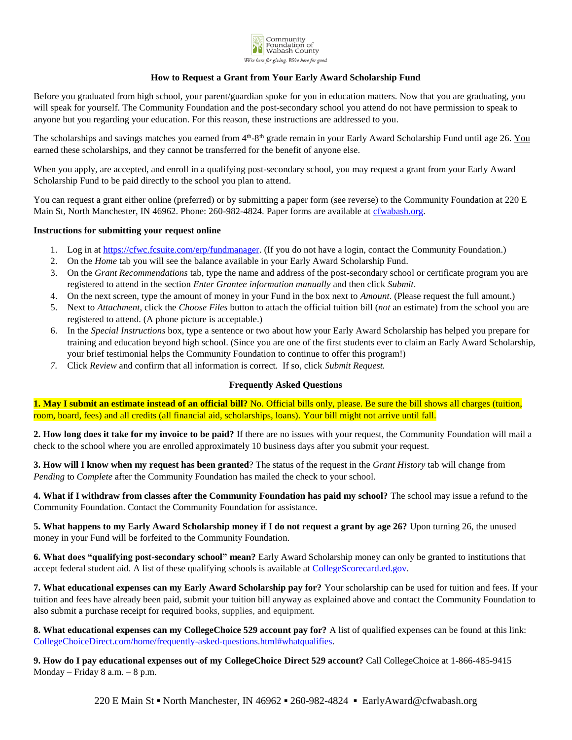

## **How to Request a Grant from Your Early Award Scholarship Fund**

Before you graduated from high school, your parent/guardian spoke for you in education matters. Now that you are graduating, you will speak for yourself. The Community Foundation and the post-secondary school you attend do not have permission to speak to anyone but you regarding your education. For this reason, these instructions are addressed to you.

The scholarships and savings matches you earned from 4<sup>th</sup>-8<sup>th</sup> grade remain in your Early Award Scholarship Fund until age 26. You earned these scholarships, and they cannot be transferred for the benefit of anyone else.

When you apply, are accepted, and enroll in a qualifying post-secondary school, you may request a grant from your Early Award Scholarship Fund to be paid directly to the school you plan to attend.

You can request a grant either online (preferred) or by submitting a paper form (see reverse) to the Community Foundation at 220 E Main St, North Manchester, IN 46962. Phone: 260-982-4824. Paper forms are available at [cfwabash.org.](http://www.cfwabash.org/)

## **Instructions for submitting your request online**

- 1. Log in at [https://cfwc.fcsuite.com/erp/fundmanager.](https://cfwc.fcsuite.com/erp/fundmanager) (If you do not have a login, contact the Community Foundation.)
- 2. On the *Home* tab you will see the balance available in your Early Award Scholarship Fund.
- 3. On the *Grant Recommendations* tab, type the name and address of the post-secondary school or certificate program you are registered to attend in the section *Enter Grantee information manually* and then click *Submit*.
- 4. On the next screen, type the amount of money in your Fund in the box next to *Amount*. (Please request the full amount.)
- 5. Next to *Attachment*, click the *Choose Files* button to attach the official tuition bill (*not* an estimate) from the school you are registered to attend. (A phone picture is acceptable.)
- 6. In the *Special Instructions* box, type a sentence or two about how your Early Award Scholarship has helped you prepare for training and education beyond high school. (Since you are one of the first students ever to claim an Early Award Scholarship, your brief testimonial helps the Community Foundation to continue to offer this program!)
- *7.* Click *Review* and confirm that all information is correct. If so, click *Submit Request.*

## **Frequently Asked Questions**

**1. May I submit an estimate instead of an official bill?** No. Official bills only, please. Be sure the bill shows all charges (tuition, room, board, fees) and all credits (all financial aid, scholarships, loans). Your bill might not arrive until fall.

**2. How long does it take for my invoice to be paid?** If there are no issues with your request, the Community Foundation will mail a check to the school where you are enrolled approximately 10 business days after you submit your request.

**3. How will I know when my request has been granted**? The status of the request in the *Grant History* tab will change from *Pending* to *Complete* after the Community Foundation has mailed the check to your school.

**4. What if I withdraw from classes after the Community Foundation has paid my school?** The school may issue a refund to the Community Foundation. Contact the Community Foundation for assistance.

**5. What happens to my Early Award Scholarship money if I do not request a grant by age 26?** Upon turning 26, the unused money in your Fund will be forfeited to the Community Foundation.

**6. What does "qualifying post-secondary school" mean?** Early Award Scholarship money can only be granted to institutions that accept federal student aid. A list of these qualifying schools is available at [CollegeScorecard.ed.gov.](http://www.collegescorecard.ed.gov/)

**7. What educational expenses can my Early Award Scholarship pay for?** Your scholarship can be used for tuition and fees. If your tuition and fees have already been paid, submit your tuition bill anyway as explained above and contact the Community Foundation to also submit a purchase receipt for required books, supplies, and equipment.

**8. What educational expenses can my CollegeChoice 529 account pay for?** A list of qualified expenses can be found at this link: [CollegeChoiceDirect.com/home/frequently-asked-questions.html#whatqualifies.](https://www.collegechoicedirect.com/home/frequently-asked-questions.html#whatqualifies)

**9. How do I pay educational expenses out of my CollegeChoice Direct 529 account?** Call CollegeChoice at 1-866-485-9415 Monday – Friday 8 a.m. – 8 p.m.